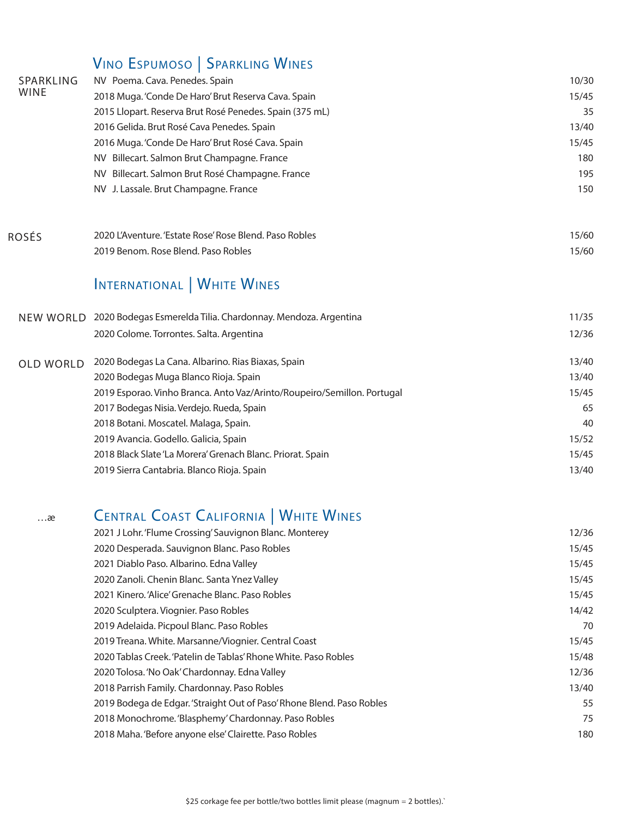### VINO ESPUMOSO | SPARKLING WINES

|                          | $\frac{1}{2}$ . $\frac{1}{2}$ . $\frac{1}{2}$ . $\frac{1}{2}$ . $\frac{1}{2}$ . $\frac{1}{2}$ . $\frac{1}{2}$ . $\frac{1}{2}$ . $\frac{1}{2}$ |       |
|--------------------------|-----------------------------------------------------------------------------------------------------------------------------------------------|-------|
| SPARKLING<br><b>WINE</b> | NV Poema. Cava. Penedes. Spain                                                                                                                | 10/30 |
|                          | 2018 Muga. 'Conde De Haro' Brut Reserva Cava. Spain                                                                                           | 15/45 |
|                          | 2015 Llopart. Reserva Brut Rosé Penedes. Spain (375 mL)                                                                                       | 35    |
|                          | 2016 Gelida. Brut Rosé Cava Penedes. Spain                                                                                                    | 13/40 |
|                          | 2016 Muga. 'Conde De Haro' Brut Rosé Cava. Spain                                                                                              | 15/45 |
|                          | NV Billecart. Salmon Brut Champagne. France                                                                                                   | 180   |
|                          | NV Billecart. Salmon Brut Rosé Champagne. France                                                                                              | 195   |
|                          | NV J. Lassale. Brut Champagne. France                                                                                                         | 150   |
| <b>ROSÉS</b>             | 2020 L'Aventure. 'Estate Rose' Rose Blend. Paso Robles                                                                                        | 15/60 |
|                          | 2019 Benom. Rose Blend. Paso Robles                                                                                                           | 15/60 |
|                          | INTERNATIONAL   WHITE WINES                                                                                                                   |       |
|                          | NEW WORLD 2020 Bodegas Esmerelda Tilia. Chardonnay. Mendoza. Argentina                                                                        | 11/35 |
|                          | 2020 Colome. Torrontes. Salta. Argentina                                                                                                      | 12/36 |
| <b>OLD WORLD</b>         | 2020 Bodegas La Cana. Albarino. Rias Biaxas, Spain                                                                                            | 13/40 |
|                          | 2020 Bodegas Muga Blanco Rioja. Spain                                                                                                         | 13/40 |
|                          | 2019 Esporao. Vinho Branca. Anto Vaz/Arinto/Roupeiro/Semillon. Portugal                                                                       | 15/45 |
|                          | 2017 Bodegas Nisia. Verdejo. Rueda, Spain                                                                                                     | 65    |
|                          | 2018 Botani. Moscatel. Malaga, Spain.                                                                                                         | 40    |
|                          | 2019 Avancia. Godello. Galicia, Spain                                                                                                         | 15/52 |
|                          | 2018 Black Slate 'La Morera' Grenach Blanc. Priorat. Spain                                                                                    | 15/45 |
|                          | 2019 Sierra Cantabria. Blanco Rioja. Spain                                                                                                    | 13/40 |
|                          |                                                                                                                                               |       |

# …æ CEntral Coast California | WhitE WinEs

| 2021 J Lohr. 'Flume Crossing' Sauvignon Blanc. Monterey               | 12/36 |
|-----------------------------------------------------------------------|-------|
| 2020 Desperada. Sauvignon Blanc. Paso Robles                          | 15/45 |
| 2021 Diablo Paso. Albarino. Edna Valley                               | 15/45 |
| 2020 Zanoli. Chenin Blanc. Santa Ynez Valley                          | 15/45 |
| 2021 Kinero, 'Alice' Grenache Blanc, Paso Robles                      | 15/45 |
| 2020 Sculptera. Viognier. Paso Robles                                 | 14/42 |
| 2019 Adelaida. Picpoul Blanc. Paso Robles                             | 70    |
| 2019 Treana. White. Marsanne/Viognier. Central Coast                  | 15/45 |
| 2020 Tablas Creek. 'Patelin de Tablas' Rhone White. Paso Robles       | 15/48 |
| 2020 Tolosa. 'No Oak' Chardonnay. Edna Valley                         | 12/36 |
| 2018 Parrish Family. Chardonnay. Paso Robles                          | 13/40 |
| 2019 Bodega de Edgar. 'Straight Out of Paso' Rhone Blend. Paso Robles | 55    |
| 2018 Monochrome. 'Blasphemy' Chardonnay. Paso Robles                  | 75    |
| 2018 Maha. 'Before anyone else' Clairette. Paso Robles                | 180   |
|                                                                       |       |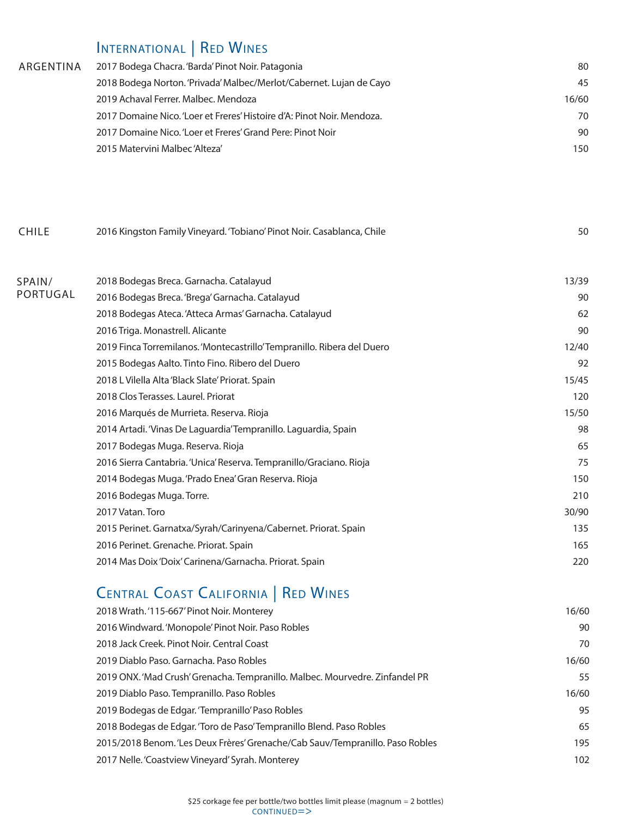#### INTERNATIONAL | RED WINES

| ARGENTINA | 2017 Bodega Chacra. 'Barda' Pinot Noir. Patagonia                      | 80    |
|-----------|------------------------------------------------------------------------|-------|
|           | 2018 Bodega Norton. 'Privada' Malbec/Merlot/Cabernet. Lujan de Cayo    | 45    |
|           | 2019 Achaval Ferrer, Malbec, Mendoza                                   | 16/60 |
|           | 2017 Domaine Nico. 'Loer et Freres' Histoire d'A: Pinot Noir. Mendoza. | 70    |
|           | 2017 Domaine Nico. 'Loer et Freres' Grand Pere: Pinot Noir             | 90    |
|           | 2015 Matervini Malbec 'Alteza'                                         | 150   |

| <b>CHILE</b> | 2016 Kingston Family Vineyard. 'Tobiano' Pinot Noir. Casablanca, Chile |  |
|--------------|------------------------------------------------------------------------|--|
|              |                                                                        |  |

| SPAIN/<br>PORTUGAL | 2018 Bodegas Breca. Garnacha. Catalayud                                 | 13/39 |
|--------------------|-------------------------------------------------------------------------|-------|
|                    | 2016 Bodegas Breca. 'Brega' Garnacha. Catalayud                         | 90    |
|                    | 2018 Bodegas Ateca. 'Atteca Armas' Garnacha. Catalayud                  | 62    |
|                    | 2016 Triga. Monastrell. Alicante                                        | 90    |
|                    | 2019 Finca Torremilanos. 'Montecastrillo' Tempranillo. Ribera del Duero | 12/40 |
|                    | 2015 Bodegas Aalto. Tinto Fino. Ribero del Duero                        | 92    |
|                    | 2018 L Vilella Alta 'Black Slate' Priorat. Spain                        | 15/45 |
|                    | 2018 Clos Terasses. Laurel. Priorat                                     | 120   |
|                    | 2016 Marqués de Murrieta. Reserva. Rioja                                | 15/50 |
|                    | 2014 Artadi. 'Vinas De Laguardia' Tempranillo. Laguardia, Spain         | 98    |
|                    | 2017 Bodegas Muga. Reserva. Rioja                                       | 65    |
|                    | 2016 Sierra Cantabria. 'Unica' Reserva. Tempranillo/Graciano. Rioja     | 75    |
|                    | 2014 Bodegas Muga. 'Prado Enea' Gran Reserva. Rioja                     | 150   |
|                    | 2016 Bodegas Muga. Torre.                                               | 210   |
|                    | 2017 Vatan, Toro                                                        | 30/90 |
|                    | 2015 Perinet. Garnatxa/Syrah/Carinyena/Cabernet. Priorat. Spain         | 135   |
|                    | 2016 Perinet. Grenache. Priorat. Spain                                  | 165   |
|                    | 2014 Mas Doix 'Doix' Carinena/Garnacha. Priorat. Spain                  | 220   |
|                    |                                                                         |       |

## **CENTRAL COAST CALIFORNIA | RED WINES**

| 2018 Wrath.'115-667' Pinot Noir. Monterey                                    | 16/60 |
|------------------------------------------------------------------------------|-------|
| 2016 Windward. 'Monopole' Pinot Noir. Paso Robles                            | 90    |
| 2018 Jack Creek, Pinot Noir, Central Coast                                   | 70    |
| 2019 Diablo Paso, Garnacha, Paso Robles                                      | 16/60 |
| 2019 ONX. 'Mad Crush' Grenacha. Tempranillo. Malbec. Mourvedre. Zinfandel PR | 55    |
| 2019 Diablo Paso. Tempranillo. Paso Robles                                   | 16/60 |
| 2019 Bodegas de Edgar. 'Tempranillo' Paso Robles                             | 95    |
| 2018 Bodegas de Edgar. 'Toro de Paso'Tempranillo Blend. Paso Robles          | 65    |
| 2015/2018 Benom. Les Deux Frères Grenache/Cab Sauv/Tempranillo. Paso Robles  | 195   |
| 2017 Nelle. 'Coastview Vineyard' Syrah. Monterey                             | 102   |